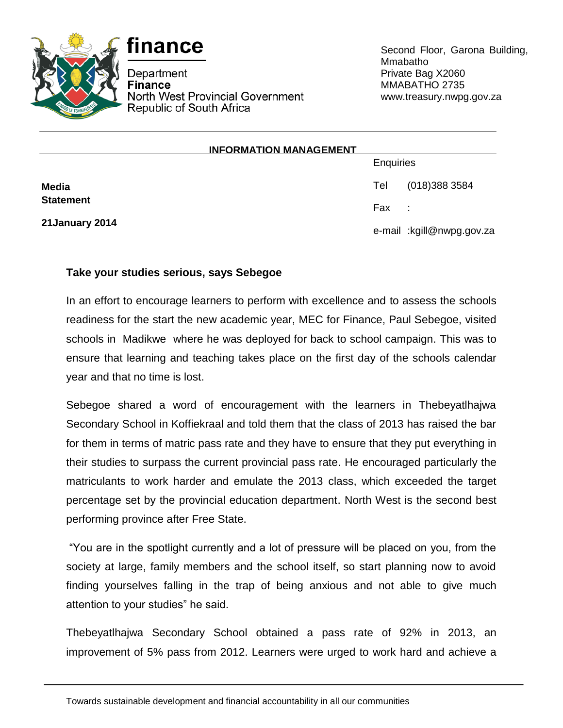



Department Finance North West Provincial Government Republic of South Africa

Second Floor, Garona Building, Mmabatho Private Bag X2060 MMABATHO 2735 www.treasury.nwpg.gov.za

|                  | <b>INFORMATION MANAGEMENT</b> |           |                           |
|------------------|-------------------------------|-----------|---------------------------|
|                  |                               | Enquiries |                           |
| <b>Media</b>     |                               | Tel       | (018) 388 3584            |
| <b>Statement</b> |                               | Fax       | $\sim$ 1.                 |
| 21 January 2014  |                               |           | e-mail :kgill@nwpg.gov.za |

## **Take your studies serious, says Sebegoe**

In an effort to encourage learners to perform with excellence and to assess the schools readiness for the start the new academic year, MEC for Finance, Paul Sebegoe, visited schools in Madikwe where he was deployed for back to school campaign. This was to ensure that learning and teaching takes place on the first day of the schools calendar year and that no time is lost.

Sebegoe shared a word of encouragement with the learners in Thebeyatlhajwa Secondary School in Koffiekraal and told them that the class of 2013 has raised the bar for them in terms of matric pass rate and they have to ensure that they put everything in their studies to surpass the current provincial pass rate. He encouraged particularly the matriculants to work harder and emulate the 2013 class, which exceeded the target percentage set by the provincial education department. North West is the second best performing province after Free State.

"You are in the spotlight currently and a lot of pressure will be placed on you, from the society at large, family members and the school itself, so start planning now to avoid finding yourselves falling in the trap of being anxious and not able to give much attention to your studies" he said.

Thebeyatlhajwa Secondary School obtained a pass rate of 92% in 2013, an improvement of 5% pass from 2012. Learners were urged to work hard and achieve a